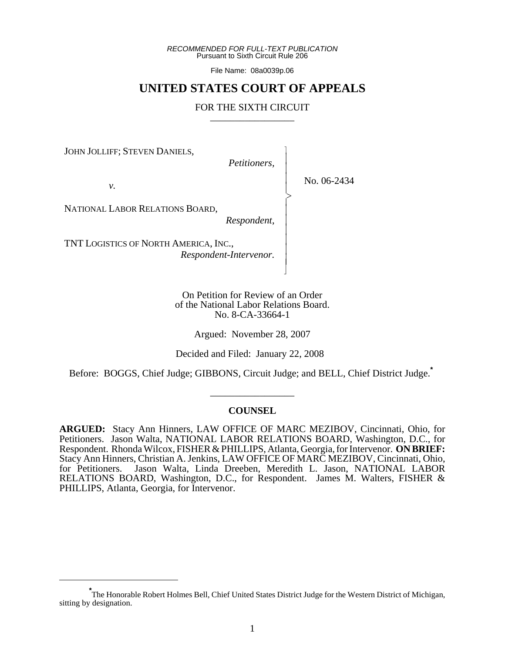*RECOMMENDED FOR FULL-TEXT PUBLICATION* Pursuant to Sixth Circuit Rule 206

File Name: 08a0039p.06

# **UNITED STATES COURT OF APPEALS**

# FOR THE SIXTH CIRCUIT

JOHN JOLLIFF; STEVEN DANIELS,

*Petitioners,*

 $\overline{\phantom{a}}$ - - - -  $\succ$ |<br>|<br>| - - - - - - N

*v.*

No. 06-2434

NATIONAL LABOR RELATIONS BOARD,

*Respondent*,

TNT LOGISTICS OF NORTH AMERICA, INC., *Respondent-Intervenor.*

> On Petition for Review of an Order of the National Labor Relations Board. No. 8-CA-33664-1

> > Argued: November 28, 2007

Decided and Filed: January 22, 2008

Before: BOGGS, Chief Judge; GIBBONS, Circuit Judge; and BELL, Chief District Judge.**\***

### **COUNSEL**

\_\_\_\_\_\_\_\_\_\_\_\_\_\_\_\_\_

**ARGUED:** Stacy Ann Hinners, LAW OFFICE OF MARC MEZIBOV, Cincinnati, Ohio, for Petitioners. Jason Walta, NATIONAL LABOR RELATIONS BOARD, Washington, D.C., for Respondent. Rhonda Wilcox, FISHER & PHILLIPS, Atlanta, Georgia, for Intervenor. **ON BRIEF:** Stacy Ann Hinners, Christian A. Jenkins, LAW OFFICE OF MARC MEZIBOV, Cincinnati, Ohio, for Petitioners. Jason Walta, Linda Dreeben, Meredith L. Jason, NATIONAL LABOR RELATIONS BOARD, Washington, D.C., for Respondent. James M. Walters, FISHER & PHILLIPS, Atlanta, Georgia, for Intervenor.

**<sup>\*</sup>** The Honorable Robert Holmes Bell, Chief United States District Judge for the Western District of Michigan, sitting by designation.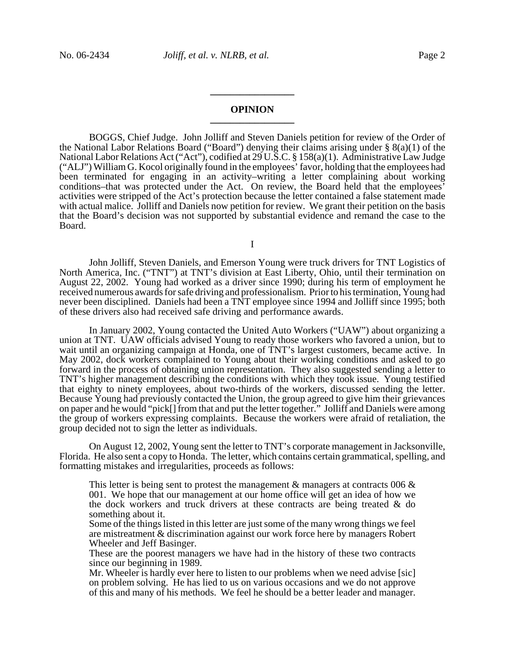# **OPINION \_\_\_\_\_\_\_\_\_\_\_\_\_\_\_\_\_**

**\_\_\_\_\_\_\_\_\_\_\_\_\_\_\_\_\_**

BOGGS, Chief Judge. John Jolliff and Steven Daniels petition for review of the Order of the National Labor Relations Board ("Board") denying their claims arising under § 8(a)(1) of the National Labor Relations Act ("Act"), codified at 29 U.S.C. § 158(a)(1). Administrative Law Judge ("ALJ") William G. Kocol originally found in the employees' favor, holding that the employees had been terminated for engaging in an activity–writing a letter complaining about working conditions–that was protected under the Act. On review, the Board held that the employees' activities were stripped of the Act's protection because the letter contained a false statement made with actual malice. Jolliff and Daniels now petition for review. We grant their petition on the basis that the Board's decision was not supported by substantial evidence and remand the case to the Board.

I

John Jolliff, Steven Daniels, and Emerson Young were truck drivers for TNT Logistics of North America, Inc. ("TNT") at TNT's division at East Liberty, Ohio, until their termination on August 22, 2002. Young had worked as a driver since 1990; during his term of employment he received numerous awards for safe driving and professionalism. Prior to his termination, Young had never been disciplined. Daniels had been a TNT employee since 1994 and Jolliff since 1995; both of these drivers also had received safe driving and performance awards.

In January 2002, Young contacted the United Auto Workers ("UAW") about organizing a union at TNT. UAW officials advised Young to ready those workers who favored a union, but to wait until an organizing campaign at Honda, one of TNT's largest customers, became active. In May 2002, dock workers complained to Young about their working conditions and asked to go forward in the process of obtaining union representation. They also suggested sending a letter to TNT's higher management describing the conditions with which they took issue. Young testified that eighty to ninety employees, about two-thirds of the workers, discussed sending the letter. Because Young had previously contacted the Union, the group agreed to give him their grievances on paper and he would "pick[] from that and put the letter together." Jolliff and Daniels were among the group of workers expressing complaints. Because the workers were afraid of retaliation, the group decided not to sign the letter as individuals.

On August 12, 2002, Young sent the letter to TNT's corporate management in Jacksonville, Florida. He also sent a copy to Honda. The letter, which contains certain grammatical, spelling, and formatting mistakes and irregularities, proceeds as follows:

This letter is being sent to protest the management  $\&$  managers at contracts 006  $\&$ 001. We hope that our management at our home office will get an idea of how we the dock workers and truck drivers at these contracts are being treated  $\&$  do something about it.

Some of the things listed in this letter are just some of the many wrong things we feel are mistreatment & discrimination against our work force here by managers Robert Wheeler and Jeff Basinger.

These are the poorest managers we have had in the history of these two contracts since our beginning in 1989.

Mr. Wheeler is hardly ever here to listen to our problems when we need advise [sic] on problem solving. He has lied to us on various occasions and we do not approve of this and many of his methods. We feel he should be a better leader and manager.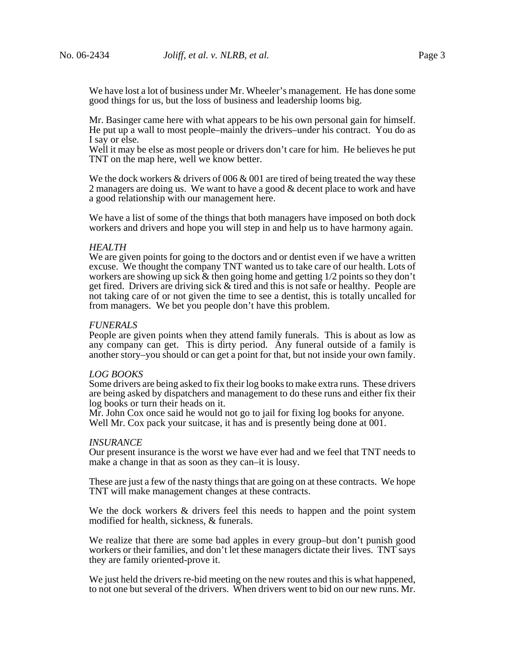We have lost a lot of business under Mr. Wheeler's management. He has done some good things for us, but the loss of business and leadership looms big.

Mr. Basinger came here with what appears to be his own personal gain for himself. He put up a wall to most people–mainly the drivers–under his contract. You do as I say or else.

Well it may be else as most people or drivers don't care for him. He believes he put TNT on the map here, well we know better.

We the dock workers  $\&$  drivers of 006  $\&$  001 are tired of being treated the way these 2 managers are doing us. We want to have a good & decent place to work and have a good relationship with our management here.

We have a list of some of the things that both managers have imposed on both dock workers and drivers and hope you will step in and help us to have harmony again.

### *HEALTH*

We are given points for going to the doctors and or dentist even if we have a written excuse. We thought the company TNT wanted us to take care of our health. Lots of workers are showing up sick  $\&$  then going home and getting  $1/2$  points so they don't get fired. Drivers are driving sick & tired and this is not safe or healthy. People are not taking care of or not given the time to see a dentist, this is totally uncalled for from managers. We bet you people don't have this problem.

### *FUNERALS*

People are given points when they attend family funerals. This is about as low as any company can get. This is dirty period. Any funeral outside of a family is another story–you should or can get a point for that, but not inside your own family.

#### *LOG BOOKS*

Some drivers are being asked to fix their log books to make extra runs. These drivers are being asked by dispatchers and management to do these runs and either fix their log books or turn their heads on it.

Mr. John Cox once said he would not go to jail for fixing log books for anyone. Well Mr. Cox pack your suitcase, it has and is presently being done at 001.

#### *INSURANCE*

Our present insurance is the worst we have ever had and we feel that TNT needs to make a change in that as soon as they can–it is lousy.

These are just a few of the nasty things that are going on at these contracts. We hope TNT will make management changes at these contracts.

We the dock workers  $\&$  drivers feel this needs to happen and the point system modified for health, sickness, & funerals.

We realize that there are some bad apples in every group–but don't punish good workers or their families, and don't let these managers dictate their lives. TNT says they are family oriented-prove it.

We just held the drivers re-bid meeting on the new routes and this is what happened, to not one but several of the drivers. When drivers went to bid on our new runs. Mr.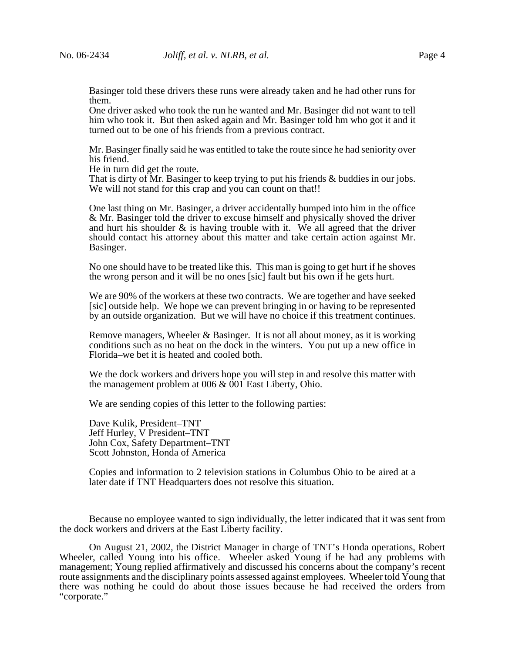Basinger told these drivers these runs were already taken and he had other runs for them.

One driver asked who took the run he wanted and Mr. Basinger did not want to tell him who took it. But then asked again and Mr. Basinger told hm who got it and it turned out to be one of his friends from a previous contract.

Mr. Basinger finally said he was entitled to take the route since he had seniority over his friend.

He in turn did get the route.

That is dirty of Mr. Basinger to keep trying to put his friends & buddies in our jobs. We will not stand for this crap and you can count on that!!

One last thing on Mr. Basinger, a driver accidentally bumped into him in the office & Mr. Basinger told the driver to excuse himself and physically shoved the driver and hurt his shoulder  $\&$  is having trouble with it. We all agreed that the driver should contact his attorney about this matter and take certain action against Mr. Basinger.

No one should have to be treated like this. This man is going to get hurt if he shoves the wrong person and it will be no ones [sic] fault but his own if he gets hurt.

We are 90% of the workers at these two contracts. We are together and have seeked [sic] outside help. We hope we can prevent bringing in or having to be represented by an outside organization. But we will have no choice if this treatment continues.

Remove managers, Wheeler & Basinger. It is not all about money, as it is working conditions such as no heat on the dock in the winters. You put up a new office in Florida–we bet it is heated and cooled both.

We the dock workers and drivers hope you will step in and resolve this matter with the management problem at 006 & 001 East Liberty, Ohio.

We are sending copies of this letter to the following parties:

Dave Kulik, President–TNT Jeff Hurley, V President–TNT John Cox, Safety Department–TNT Scott Johnston, Honda of America

Copies and information to 2 television stations in Columbus Ohio to be aired at a later date if TNT Headquarters does not resolve this situation.

Because no employee wanted to sign individually, the letter indicated that it was sent from the dock workers and drivers at the East Liberty facility.

On August 21, 2002, the District Manager in charge of TNT's Honda operations, Robert Wheeler, called Young into his office. Wheeler asked Young if he had any problems with management; Young replied affirmatively and discussed his concerns about the company's recent route assignments and the disciplinary points assessed against employees. Wheeler told Young that there was nothing he could do about those issues because he had received the orders from "corporate."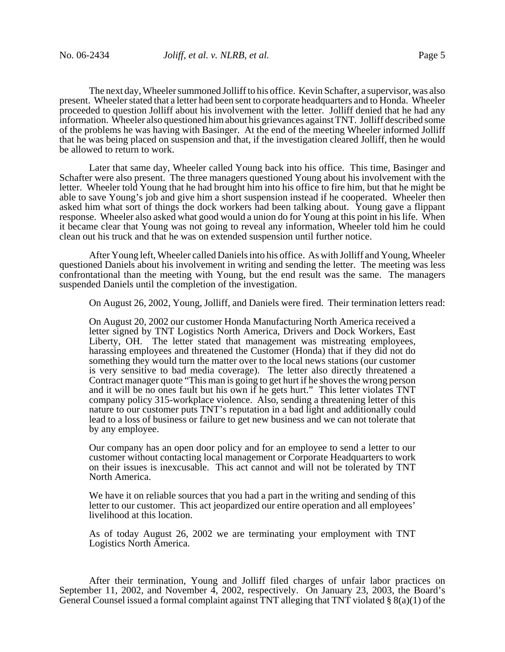The next day, Wheeler summoned Jolliff to his office. Kevin Schafter, a supervisor, was also present. Wheeler stated that a letter had been sent to corporate headquarters and to Honda. Wheeler proceeded to question Jolliff about his involvement with the letter. Jolliff denied that he had any information. Wheeler also questioned him about his grievances against TNT. Jolliff described some of the problems he was having with Basinger. At the end of the meeting Wheeler informed Jolliff that he was being placed on suspension and that, if the investigation cleared Jolliff, then he would be allowed to return to work.

Later that same day, Wheeler called Young back into his office. This time, Basinger and Schafter were also present. The three managers questioned Young about his involvement with the letter. Wheeler told Young that he had brought him into his office to fire him, but that he might be able to save Young's job and give him a short suspension instead if he cooperated. Wheeler then asked him what sort of things the dock workers had been talking about. Young gave a flippant response. Wheeler also asked what good would a union do for Young at this point in his life. When it became clear that Young was not going to reveal any information, Wheeler told him he could clean out his truck and that he was on extended suspension until further notice.

After Young left, Wheeler called Daniels into his office. As with Jolliff and Young, Wheeler questioned Daniels about his involvement in writing and sending the letter. The meeting was less confrontational than the meeting with Young, but the end result was the same. The managers suspended Daniels until the completion of the investigation.

On August 26, 2002, Young, Jolliff, and Daniels were fired. Their termination letters read:

On August 20, 2002 our customer Honda Manufacturing North America received a letter signed by TNT Logistics North America, Drivers and Dock Workers, East Liberty, OH. The letter stated that management was mistreating employees, harassing employees and threatened the Customer (Honda) that if they did not do something they would turn the matter over to the local news stations (our customer is very sensitive to bad media coverage). The letter also directly threatened a Contract manager quote "This man is going to get hurt if he shoves the wrong person and it will be no ones fault but his own if he gets hurt." This letter violates TNT company policy 315-workplace violence. Also, sending a threatening letter of this nature to our customer puts TNT's reputation in a bad light and additionally could lead to a loss of business or failure to get new business and we can not tolerate that by any employee.

Our company has an open door policy and for an employee to send a letter to our customer without contacting local management or Corporate Headquarters to work on their issues is inexcusable. This act cannot and will not be tolerated by TNT North America.

We have it on reliable sources that you had a part in the writing and sending of this letter to our customer. This act jeopardized our entire operation and all employees' livelihood at this location.

As of today August 26, 2002 we are terminating your employment with TNT Logistics North America.

After their termination, Young and Jolliff filed charges of unfair labor practices on September 11, 2002, and November  $\overline{4}$ , 2002, respectively. On January 23, 2003, the Board's General Counsel issued a formal complaint against TNT alleging that TNT violated  $\S(8(a)(1))$  of the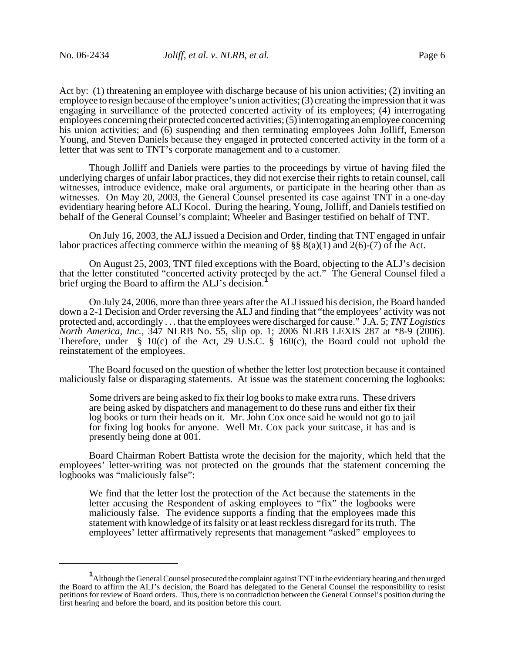Act by: (1) threatening an employee with discharge because of his union activities; (2) inviting an employee to resign because of the employee's union activities; (3) creating the impression that it was engaging in surveillance of the protected concerted activity of its employees; (4) interrogating employees concerning their protected concerted activities; (5) interrogating an employee concerning his union activities; and (6) suspending and then terminating employees John Jolliff, Emerson Young, and Steven Daniels because they engaged in protected concerted activity in the form of a letter that was sent to TNT's corporate management and to a customer.

Though Jolliff and Daniels were parties to the proceedings by virtue of having filed the underlying charges of unfair labor practices, they did not exercise their rights to retain counsel, call witnesses, introduce evidence, make oral arguments, or participate in the hearing other than as witnesses. On May 20, 2003, the General Counsel presented its case against TNT in a one-day evidentiary hearing before ALJ Kocol. During the hearing, Young, Jolliff, and Daniels testified on behalf of the General Counsel's complaint; Wheeler and Basinger testified on behalf of TNT.

On July 16, 2003, the ALJ issued a Decision and Order, finding that TNT engaged in unfair labor practices affecting commerce within the meaning of  $\S$ §  $8(a)(1)$  and  $2(6)-(7)$  of the Act.

On August 25, 2003, TNT filed exceptions with the Board, objecting to the ALJ's decision that the letter constituted "concerted activity protected by the act." The General Counsel filed a brief urging the Board to affirm the ALJ's decision.<sup>1</sup>

On July 24, 2006, more than three years after the ALJ issued his decision, the Board handed down a 2-1 Decision and Order reversing the ALJ and finding that "the employees' activity was not protected and, accordingly . . . that the employees were discharged for cause." J.A. 5; *TNT Logistics North America, Inc., 347 NLRB No. 55, slip op. 1; 2006 NLRB LEXIS 287 at \*8-9 (2006).* Therefore, under  $\S$  10(c) of the Act, 29 U.S.C.  $\S$  160(c), the Board could not uphold the reinstatement of the employees.

The Board focused on the question of whether the letter lost protection because it contained maliciously false or disparaging statements. At issue was the statement concerning the logbooks:

Some drivers are being asked to fix their log books to make extra runs. These drivers are being asked by dispatchers and management to do these runs and either fix their log books or turn their heads on it. Mr. John Cox once said he would not go to jail for fixing log books for anyone. Well Mr. Cox pack your suitcase, it has and is presently being done at 001.

Board Chairman Robert Battista wrote the decision for the majority, which held that the employees' letter-writing was not protected on the grounds that the statement concerning the logbooks was "maliciously false":

We find that the letter lost the protection of the Act because the statements in the letter accusing the Respondent of asking employees to "fix" the logbooks were maliciously false. The evidence supports a finding that the employees made this statement with knowledge of its falsity or at least reckless disregard for its truth. The employees' letter affirmatively represents that management "asked" employees to

**<sup>1</sup>** Although the General Counsel prosecuted the complaint against TNT in the evidentiary hearing and then urged the Board to affirm the ALJ's decision, the Board has delegated to the General Counsel the responsibility to resist petitions for review of Board orders. Thus, there is no contradiction between the General Counsel's position during the first hearing and before the board, and its position before this court.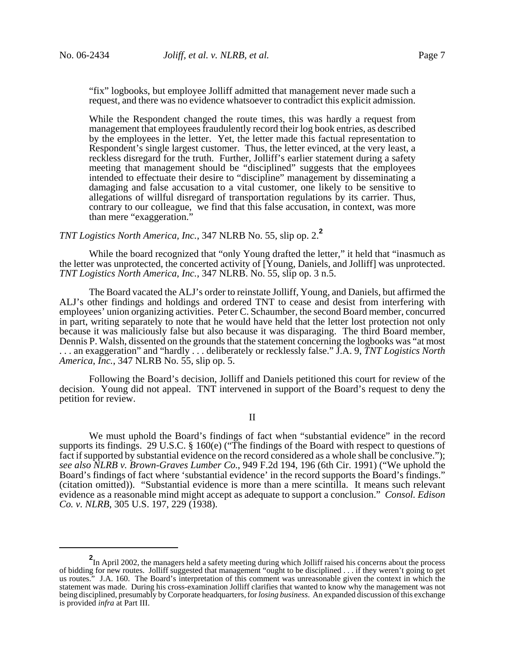"fix" logbooks, but employee Jolliff admitted that management never made such a request, and there was no evidence whatsoever to contradict this explicit admission.

While the Respondent changed the route times, this was hardly a request from management that employees fraudulently record their log book entries, as described by the employees in the letter. Yet, the letter made this factual representation to Respondent's single largest customer. Thus, the letter evinced, at the very least, a reckless disregard for the truth. Further, Jolliff's earlier statement during a safety meeting that management should be "disciplined" suggests that the employees intended to effectuate their desire to "discipline" management by disseminating a damaging and false accusation to a vital customer, one likely to be sensitive to allegations of willful disregard of transportation regulations by its carrier. Thus, contrary to our colleague, we find that this false accusation, in context, was more than mere "exaggeration."

*TNT Logistics North America, Inc.*, 347 NLRB No. 55, slip op. 2.**<sup>2</sup>**

While the board recognized that "only Young drafted the letter," it held that "inasmuch as the letter was unprotected, the concerted activity of [Young, Daniels, and Jolliff] was unprotected. *TNT Logistics North America*, *Inc.*, 347 NLRB. No. 55, slip op. 3 n.5.

The Board vacated the ALJ's order to reinstate Jolliff, Young, and Daniels, but affirmed the ALJ's other findings and holdings and ordered TNT to cease and desist from interfering with employees' union organizing activities. Peter C. Schaumber, the second Board member, concurred in part, writing separately to note that he would have held that the letter lost protection not only because it was maliciously false but also because it was disparaging. The third Board member, Dennis P. Walsh, dissented on the grounds that the statement concerning the logbooks was "at most . . . an exaggeration" and "hardly . . . deliberately or recklessly false." J.A. 9, *TNT Logistics North America*, *Inc.*, 347 NLRB No. 55, slip op. 5.

Following the Board's decision, Jolliff and Daniels petitioned this court for review of the decision. Young did not appeal. TNT intervened in support of the Board's request to deny the petition for review.

II

We must uphold the Board's findings of fact when "substantial evidence" in the record supports its findings. 29 U.S.C. § 160(e) ("The findings of the Board with respect to questions of fact if supported by substantial evidence on the record considered as a whole shall be conclusive."); *see also NLRB v. Brown-Graves Lumber Co.*, 949 F.2d 194, 196 (6th Cir. 1991) ("We uphold the Board's findings of fact where 'substantial evidence' in the record supports the Board's findings." (citation omitted)). "Substantial evidence is more than a mere scintilla. It means such relevant evidence as a reasonable mind might accept as adequate to support a conclusion." *Consol. Edison Co. v. NLRB*, 305 U.S. 197, 229 (1938).

**<sup>2</sup>** In April 2002, the managers held a safety meeting during which Jolliff raised his concerns about the process of bidding for new routes. Jolliff suggested that management "ought to be disciplined . . . if they weren't going to get us routes." J.A. 160. The Board's interpretation of this comment was unreasonable given the context in which the statement was made. During his cross-examination Jolliff clarifies that wanted to know why the management was not being disciplined, presumably by Corporate headquarters, for *losing business*. An expanded discussion of this exchange is provided *infra* at Part III.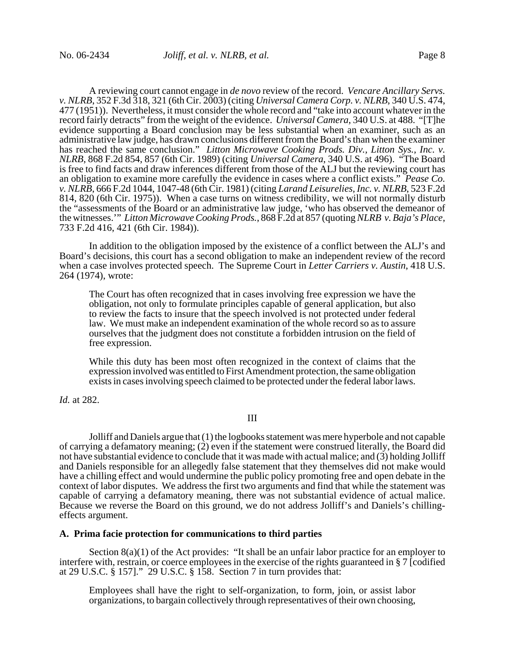A reviewing court cannot engage in *de novo* review of the record. *Vencare Ancillary Servs. v. NLRB*, 352 F.3d 318, 321 (6th Cir. 2003) (citing *Universal Camera Corp. v. NLRB*, 340 U.S. 474, 477 (1951)). Nevertheless, it must consider the whole record and "take into account whatever in the record fairly detracts" from the weight of the evidence. *Universal Camera*, 340 U.S. at 488. "[T]he evidence supporting a Board conclusion may be less substantial when an examiner, such as an administrative law judge, has drawn conclusions different from the Board's than when the examiner has reached the same conclusion." *Litton Microwave Cooking Prods. Div., Litton Sys., Inc. v. NLRB*, 868 F.2d 854, 857 (6th Cir. 1989) (citing *Universal Camera*, 340 U.S. at 496). "The Board is free to find facts and draw inferences different from those of the ALJ but the reviewing court has an obligation to examine more carefully the evidence in cases where a conflict exists." *Pease Co. v. NLRB*, 666 F.2d 1044, 1047-48 (6th Cir. 1981) (citing *Larand Leisurelies, Inc. v. NLRB*, 523 F.2d 814, 820 (6th Cir. 1975)). When a case turns on witness credibility, we will not normally disturb the "assessments of the Board or an administrative law judge, 'who has observed the demeanor of the witnesses.'" *Litton Microwave Cooking Prods.*, 868 F.2d at 857 (quoting *NLRB v. Baja's Place*, 733 F.2d 416, 421 (6th Cir. 1984)).

In addition to the obligation imposed by the existence of a conflict between the ALJ's and Board's decisions, this court has a second obligation to make an independent review of the record when a case involves protected speech. The Supreme Court in *Letter Carriers v. Austin*, 418 U.S. 264 (1974), wrote:

The Court has often recognized that in cases involving free expression we have the obligation, not only to formulate principles capable of general application, but also to review the facts to insure that the speech involved is not protected under federal law. We must make an independent examination of the whole record so as to assure ourselves that the judgment does not constitute a forbidden intrusion on the field of free expression.

While this duty has been most often recognized in the context of claims that the expression involved was entitled to First Amendment protection, the same obligation exists in cases involving speech claimed to be protected under the federal labor laws.

*Id.* at 282.

# III

Jolliff and Daniels argue that (1) the logbooks statement was mere hyperbole and not capable of carrying a defamatory meaning; (2) even if the statement were construed literally, the Board did not have substantial evidence to conclude that it was made with actual malice; and (3) holding Jolliff and Daniels responsible for an allegedly false statement that they themselves did not make would have a chilling effect and would undermine the public policy promoting free and open debate in the context of labor disputes. We address the first two arguments and find that while the statement was capable of carrying a defamatory meaning, there was not substantial evidence of actual malice. Because we reverse the Board on this ground, we do not address Jolliff's and Daniels's chillingeffects argument.

# **A. Prima facie protection for communications to third parties**

Section 8(a)(1) of the Act provides: "It shall be an unfair labor practice for an employer to interfere with, restrain, or coerce employees in the exercise of the rights guaranteed in § 7 [codified at 29 U.S.C. § 157]." 29 U.S.C. § 158. Section 7 in turn provides that:

Employees shall have the right to self-organization, to form, join, or assist labor organizations, to bargain collectively through representatives of their own choosing,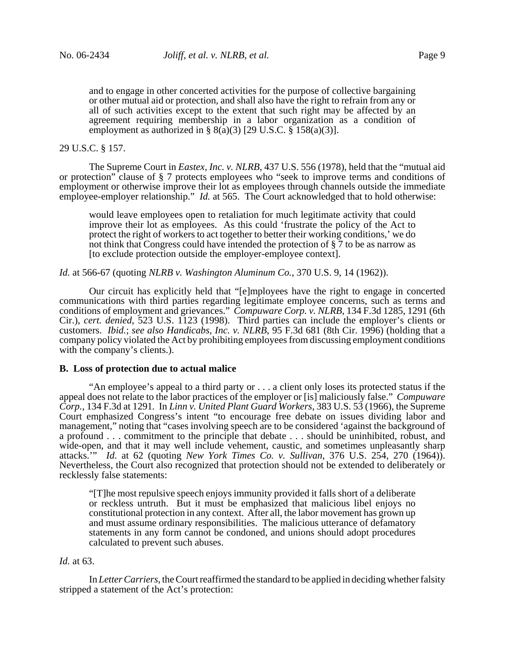and to engage in other concerted activities for the purpose of collective bargaining or other mutual aid or protection, and shall also have the right to refrain from any or all of such activities except to the extent that such right may be affected by an agreement requiring membership in a labor organization as a condition of employment as authorized in  $\S 8(a)(3)$  [29 U.S.C.  $\S 158(a)(3)$ ].

# 29 U.S.C. § 157.

The Supreme Court in *Eastex, Inc. v. NLRB*, 437 U.S. 556 (1978), held that the "mutual aid or protection" clause of § 7 protects employees who "seek to improve terms and conditions of employment or otherwise improve their lot as employees through channels outside the immediate employee-employer relationship." *Id.* at 565. The Court acknowledged that to hold otherwise:

would leave employees open to retaliation for much legitimate activity that could improve their lot as employees. As this could 'frustrate the policy of the Act to protect the right of workers to act together to better their working conditions,' we do not think that Congress could have intended the protection of § 7 to be as narrow as [to exclude protection outside the employer-employee context].

*Id.* at 566-67 (quoting *NLRB v. Washington Aluminum Co.*, 370 U.S. 9, 14 (1962)).

Our circuit has explicitly held that "[e]mployees have the right to engage in concerted communications with third parties regarding legitimate employee concerns, such as terms and conditions of employment and grievances." *Compuware Corp. v. NLRB*, 134 F.3d 1285, 1291 (6th Cir.), *cert. denied*, 523 U.S. 1123 (1998). Third parties can include the employer's clients or customers. *Ibid.*; *see also Handicabs, Inc. v. NLRB*, 95 F.3d 681 (8th Cir. 1996) (holding that a company policy violated the Act by prohibiting employees from discussing employment conditions with the company's clients.).

### **B. Loss of protection due to actual malice**

"An employee's appeal to a third party or . . . a client only loses its protected status if the appeal does not relate to the labor practices of the employer or [is] maliciously false." *Compuware Corp.*, 134 F.3d at 1291*.* In *Linn v. United Plant Guard Workers*, 383 U.S. 53 (1966), the Supreme Court emphasized Congress's intent "to encourage free debate on issues dividing labor and management," noting that "cases involving speech are to be considered 'against the background of a profound . . . commitment to the principle that debate . . . should be uninhibited, robust, and wide-open, and that it may well include vehement, caustic, and sometimes unpleasantly sharp attacks.'" *Id*. at 62 (quoting *New York Times Co. v. Sullivan*, 376 U.S. 254, 270 (1964)). Nevertheless, the Court also recognized that protection should not be extended to deliberately or recklessly false statements:

"[T]he most repulsive speech enjoys immunity provided it falls short of a deliberate or reckless untruth. But it must be emphasized that malicious libel enjoys no constitutional protection in any context. After all, the labor movement has grown up and must assume ordinary responsibilities. The malicious utterance of defamatory statements in any form cannot be condoned, and unions should adopt procedures calculated to prevent such abuses.

# *Id.* at 63.

In *Letter Carriers*, the Court reaffirmed the standard to be applied in deciding whether falsity stripped a statement of the Act's protection: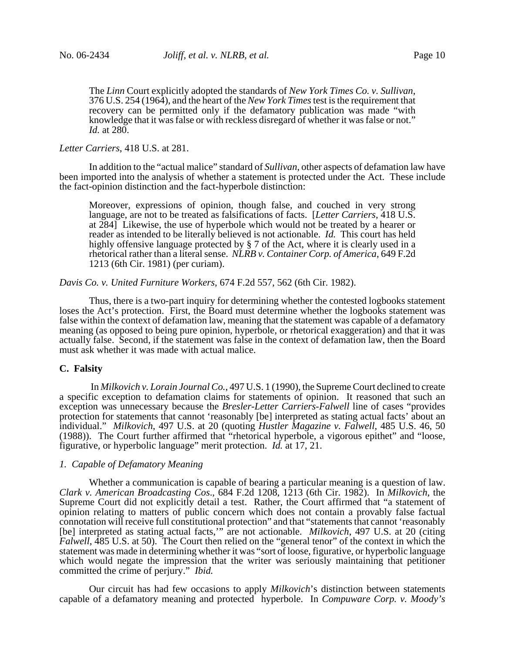The *Linn* Court explicitly adopted the standards of *New York Times Co. v. Sullivan*, 376 U.S. 254 (1964), and the heart of the *New York Times* test is the requirement that recovery can be permitted only if the defamatory publication was made "with knowledge that it was false or with reckless disregard of whether it was false or not." *Id.* at 280.

# *Letter Carriers*, 418 U.S. at 281.

In addition to the "actual malice" standard of *Sullivan*, other aspects of defamation law have been imported into the analysis of whether a statement is protected under the Act. These include the fact-opinion distinction and the fact-hyperbole distinction:

Moreover, expressions of opinion, though false, and couched in very strong language, are not to be treated as falsifications of facts. [*Letter Carriers*, 418 U.S. at 284] Likewise, the use of hyperbole which would not be treated by a hearer or reader as intended to be literally believed is not actionable. *Id.* This court has held highly offensive language protected by § 7 of the Act, where it is clearly used in a rhetorical rather than a literal sense. *NLRB v. Container Corp. of America*, 649 F.2d 1213 (6th Cir. 1981) (per curiam).

*Davis Co. v. United Furniture Workers*, 674 F.2d 557, 562 (6th Cir. 1982).

Thus, there is a two-part inquiry for determining whether the contested logbooks statement loses the Act's protection. First, the Board must determine whether the logbooks statement was false within the context of defamation law, meaning that the statement was capable of a defamatory meaning (as opposed to being pure opinion, hyperbole, or rhetorical exaggeration) and that it was actually false. Second, if the statement was false in the context of defamation law, then the Board must ask whether it was made with actual malice.

### **C. Falsity**

 In *Milkovich v. Lorain Journal Co.*, 497 U.S. 1 (1990), the Supreme Court declined to create a specific exception to defamation claims for statements of opinion. It reasoned that such an exception was unnecessary because the *Bresler-Letter Carriers-Falwell* line of cases "provides protection for statements that cannot 'reasonably [be] interpreted as stating actual facts' about an individual." *Milkovich*, 497 U.S. at 20 (quoting *Hustler Magazine v. Falwell*, 485 U.S. 46, 50 (1988)). The Court further affirmed that "rhetorical hyperbole, a vigorous epithet" and "loose, figurative, or hyperbolic language" merit protection. *Id.* at 17, 21.

### *1. Capable of Defamatory Meaning*

Whether a communication is capable of bearing a particular meaning is a question of law. *Clark v. American Broadcasting Cos*., 684 F.2d 1208, 1213 (6th Cir. 1982). In *Milkovich*, the Supreme Court did not explicitly detail a test. Rather, the Court affirmed that "a statement of opinion relating to matters of public concern which does not contain a provably false factual connotation will receive full constitutional protection" and that "statements that cannot 'reasonably [be] interpreted as stating actual facts,'" are not actionable. *Milkovich*, 497 U.S. at 20 (citing *Falwell*, 485 U.S. at 50). The Court then relied on the "general tenor" of the context in which the statement was made in determining whether it was "sort of loose, figurative, or hyperbolic language which would negate the impression that the writer was seriously maintaining that petitioner committed the crime of perjury." *Ibid.*

Our circuit has had few occasions to apply *Milkovich*'s distinction between statements capable of a defamatory meaning and protected hyperbole. In *Compuware Corp. v. Moody's*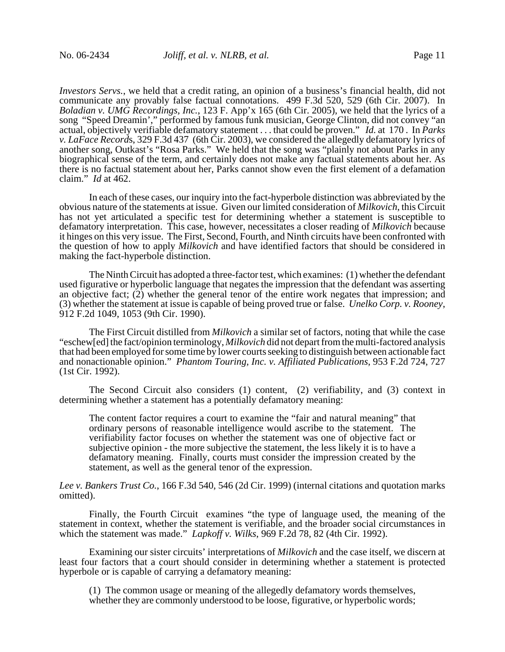*Investors Servs.*, we held that a credit rating, an opinion of a business's financial health, did not communicate any provably false factual connotations. 499 F.3d 520, 529 (6th Cir. 2007). In *Boladian v. UMG Recordings, Inc.*, 123 F. App'x 165 (6th Cir. 2005), we held that the lyrics of a song "Speed Dreamin'," performed by famous funk musician, George Clinton, did not convey "an actual, objectively verifiable defamatory statement . . . that could be proven." *Id.* at 170 . In *Parks v. LaFace Record*s, 329 F.3d 437 (6th Cir. 2003), we considered the allegedly defamatory lyrics of another song, Outkast's "Rosa Parks." We held that the song was "plainly not about Parks in any biographical sense of the term, and certainly does not make any factual statements about her. As there is no factual statement about her, Parks cannot show even the first element of a defamation claim." *Id* at 462.

In each of these cases, our inquiry into the fact-hyperbole distinction was abbreviated by the obvious nature of the statements at issue. Given our limited consideration of *Milkovich*, this Circuit has not yet articulated a specific test for determining whether a statement is susceptible to defamatory interpretation. This case, however, necessitates a closer reading of *Milkovich* because it hinges on this very issue. The First, Second, Fourth, and Ninth circuits have been confronted with the question of how to apply *Milkovich* and have identified factors that should be considered in making the fact-hyperbole distinction.

The Ninth Circuit has adopted a three-factor test, which examines: (1) whether the defendant used figurative or hyperbolic language that negates the impression that the defendant was asserting an objective fact;  $(2)$  whether the general tenor of the entire work negates that impression; and (3) whether the statement at issue is capable of being proved true or false. *Unelko Corp. v. Rooney*, 912 F.2d 1049, 1053 (9th Cir. 1990).

The First Circuit distilled from *Milkovich* a similar set of factors, noting that while the case "eschew[ed] the fact/opinion terminology, *Milkovich* did not depart from the multi-factored analysis that had been employed for some time by lower courts seeking to distinguish between actionable fact and nonactionable opinion." *Phantom Touring, Inc. v. Affiliated Publications*, 953 F.2d 724, 727 (1st Cir. 1992).

The Second Circuit also considers (1) content, (2) verifiability, and (3) context in determining whether a statement has a potentially defamatory meaning:

The content factor requires a court to examine the "fair and natural meaning" that ordinary persons of reasonable intelligence would ascribe to the statement. The verifiability factor focuses on whether the statement was one of objective fact or subjective opinion - the more subjective the statement, the less likely it is to have a defamatory meaning. Finally, courts must consider the impression created by the statement, as well as the general tenor of the expression.

*Lee v. Bankers Trust Co.*, 166 F.3d 540, 546 (2d Cir. 1999) (internal citations and quotation marks omitted).

Finally, the Fourth Circuit examines "the type of language used, the meaning of the statement in context, whether the statement is verifiable, and the broader social circumstances in which the statement was made." *Lapkoff v. Wilks*, 969 F.2d 78, 82 (4th Cir. 1992).

Examining our sister circuits' interpretations of *Milkovich* and the case itself, we discern at least four factors that a court should consider in determining whether a statement is protected hyperbole or is capable of carrying a defamatory meaning:

(1) The common usage or meaning of the allegedly defamatory words themselves, whether they are commonly understood to be loose, figurative, or hyperbolic words;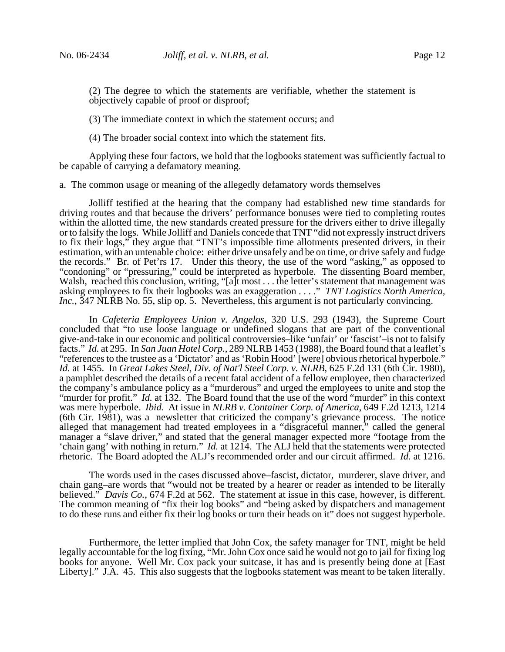(2) The degree to which the statements are verifiable, whether the statement is objectively capable of proof or disproof;

(3) The immediate context in which the statement occurs; and

(4) The broader social context into which the statement fits.

Applying these four factors, we hold that the logbooks statement was sufficiently factual to be capable of carrying a defamatory meaning.

### a. The common usage or meaning of the allegedly defamatory words themselves

Jolliff testified at the hearing that the company had established new time standards for driving routes and that because the drivers' performance bonuses were tied to completing routes within the allotted time, the new standards created pressure for the drivers either to drive illegally or to falsify the logs. While Jolliff and Daniels concede that TNT "did not expressly instruct drivers to fix their logs," they argue that "TNT's impossible time allotments presented drivers, in their estimation, with an untenable choice: either drive unsafely and be on time, or drive safely and fudge the records." Br. of Pet'rs 17. Under this theory, the use of the word "asking," as opposed to "condoning" or "pressuring," could be interpreted as hyperbole. The dissenting Board member, Walsh, reached this conclusion, writing, "[a]t most . . . the letter's statement that management was asking employees to fix their logbooks was an exaggeration . . . ." *TNT Logistics North America, Inc.*, 347 NLRB No. 55, slip op. 5. Nevertheless, this argument is not particularly convincing.

In *Cafeteria Employees Union v. Angelos*, 320 U.S. 293 (1943), the Supreme Court concluded that "to use loose language or undefined slogans that are part of the conventional give-and-take in our economic and political controversies–like 'unfair' or 'fascist'–is not to falsify facts." *Id.* at 295. In *San Juan Hotel Corp.*, 289 NLRB 1453 (1988), the Board found that a leaflet's "references to the trustee as a 'Dictator' and as 'Robin Hood' [were] obvious rhetorical hyperbole." *Id.* at 1455. In *Great Lakes Steel, Div. of Nat'l Steel Corp. v. NLRB*, 625 F.2d 131 (6th Cir. 1980), a pamphlet described the details of a recent fatal accident of a fellow employee, then characterized the company's ambulance policy as a "murderous" and urged the employees to unite and stop the "murder for profit." *Id.* at 132. The Board found that the use of the word "murder" in this context was mere hyperbole. *Ibid.* At issue in *NLRB v. Container Corp. of America*, 649 F.2d 1213, 1214 (6th Cir.  $1981$ ), was a newsletter that criticized the company's grievance process. The notice alleged that management had treated employees in a "disgraceful manner," called the general manager a "slave driver," and stated that the general manager expected more "footage from the 'chain gang' with nothing in return." *Id.* at 1214. The ALJ held that the statements were protected rhetoric. The Board adopted the ALJ's recommended order and our circuit affirmed. *Id.* at 1216.

The words used in the cases discussed above–fascist, dictator, murderer, slave driver, and chain gang–are words that "would not be treated by a hearer or reader as intended to be literally believed." *Davis Co.*, 674 F.2d at 562. The statement at issue in this case, however, is different. The common meaning of "fix their log books" and "being asked by dispatchers and management to do these runs and either fix their log books or turn their heads on it" does not suggest hyperbole.

Furthermore, the letter implied that John Cox, the safety manager for TNT, might be held legally accountable for the log fixing, "Mr. John Cox once said he would not go to jail for fixing log books for anyone. Well Mr. Cox pack your suitcase, it has and is presently being done at [East Liberty]." J.A. 45. This also suggests that the logbooks statement was meant to be taken literally.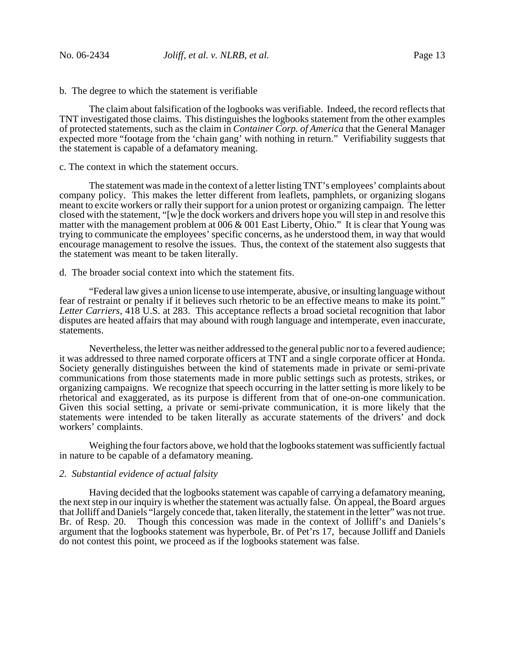b. The degree to which the statement is verifiable

The claim about falsification of the logbooks was verifiable. Indeed, the record reflects that TNT investigated those claims. This distinguishes the logbooks statement from the other examples of protected statements, such as the claim in *Container Corp. of America* that the General Manager expected more "footage from the 'chain gang' with nothing in return." Verifiability suggests that the statement is capable of a defamatory meaning.

# c. The context in which the statement occurs.

The statement was made in the context of a letter listing TNT's employees' complaints about company policy. This makes the letter different from leaflets, pamphlets, or organizing slogans meant to excite workers or rally their support for a union protest or organizing campaign. The letter closed with the statement, "[w]e the dock workers and drivers hope you will step in and resolve this matter with the management problem at 006 & 001 East Liberty, Ohio." It is clear that Young was trying to communicate the employees' specific concerns, as he understood them, in way that would encourage management to resolve the issues. Thus, the context of the statement also suggests that the statement was meant to be taken literally.

## d. The broader social context into which the statement fits.

"Federal law gives a union license to use intemperate, abusive, or insulting language without fear of restraint or penalty if it believes such rhetoric to be an effective means to make its point." *Letter Carriers*, 418 U.S. at 283. This acceptance reflects a broad societal recognition that labor disputes are heated affairs that may abound with rough language and intemperate, even inaccurate, statements.

Nevertheless, the letter was neither addressed to the general public nor to a fevered audience; it was addressed to three named corporate officers at TNT and a single corporate officer at Honda. Society generally distinguishes between the kind of statements made in private or semi-private communications from those statements made in more public settings such as protests, strikes, or organizing campaigns. We recognize that speech occurring in the latter setting is more likely to be rhetorical and exaggerated, as its purpose is different from that of one-on-one communication. Given this social setting, a private or semi-private communication, it is more likely that the statements were intended to be taken literally as accurate statements of the drivers' and dock workers' complaints.

Weighing the four factors above, we hold that the logbooks statement was sufficiently factual in nature to be capable of a defamatory meaning.

#### *2. Substantial evidence of actual falsity*

Having decided that the logbooks statement was capable of carrying a defamatory meaning, the next step in our inquiry is whether the statement was actually false. On appeal, the Board argues that Jolliff and Daniels "largely concede that, taken literally, the statement in the letter" was not true. Br. of Resp. 20. Though this concession was made in the context of Jolliff's and Daniels's argument that the logbooks statement was hyperbole, Br. of Pet'rs 17, because Jolliff and Daniels do not contest this point, we proceed as if the logbooks statement was false.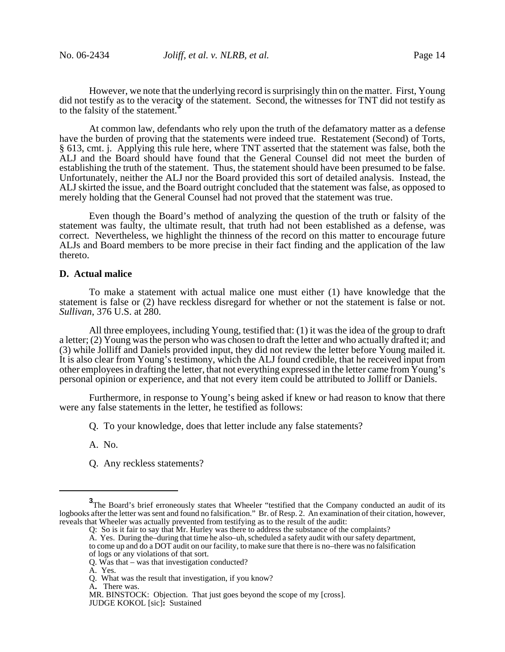However, we note that the underlying record is surprisingly thin on the matter. First, Young did not testify as to the veracity of the statement. Second, the witnesses for TNT did not testify as to the falsity of the statement.<sup>3</sup>

At common law, defendants who rely upon the truth of the defamatory matter as a defense have the burden of proving that the statements were indeed true. Restatement (Second) of Torts, § 613, cmt. j. Applying this rule here, where TNT asserted that the statement was false, both the ALJ and the Board should have found that the General Counsel did not meet the burden of establishing the truth of the statement. Thus, the statement should have been presumed to be false. Unfortunately, neither the ALJ nor the Board provided this sort of detailed analysis. Instead, the ALJ skirted the issue, and the Board outright concluded that the statement was false, as opposed to merely holding that the General Counsel had not proved that the statement was true.

Even though the Board's method of analyzing the question of the truth or falsity of the statement was faulty, the ultimate result, that truth had not been established as a defense, was correct. Nevertheless, we highlight the thinness of the record on this matter to encourage future ALJs and Board members to be more precise in their fact finding and the application of the law thereto.

### **D. Actual malice**

To make a statement with actual malice one must either (1) have knowledge that the statement is false or (2) have reckless disregard for whether or not the statement is false or not. *Sullivan*, 376 U.S. at 280.

All three employees, including Young, testified that: (1) it was the idea of the group to draft a letter; (2) Young was the person who was chosen to draft the letter and who actually drafted it; and (3) while Jolliff and Daniels provided input, they did not review the letter before Young mailed it. It is also clear from Young's testimony, which the ALJ found credible, that he received input from other employees in drafting the letter, that not everything expressed in the letter came from Young's personal opinion or experience, and that not every item could be attributed to Jolliff or Daniels.

Furthermore, in response to Young's being asked if knew or had reason to know that there were any false statements in the letter, he testified as follows:

Q. To your knowledge, does that letter include any false statements?

A. No.

Q. Any reckless statements?

A. Yes. During the–during that time he also–uh, scheduled a safety audit with our safety department, to come up and do a DOT audit on our facility, to make sure that there is no–there was no falsification of logs or any violations of that sort.

**<sup>3</sup>**<br>The Board's brief erroneously states that Wheeler "testified that the Company conducted an audit of its logbooks after the letter was sent and found no falsification." Br. of Resp. 2. An examination of their citation, however, reveals that Wheeler was actually prevented from testifying as to the result of the audit:

Q: So is it fair to say that Mr. Hurley was there to address the substance of the complaints?

Q. Was that – was that investigation conducted?

A. Yes.

Q. What was the result that investigation, if you know?

A**.** There was.

MR. BINSTOCK: Objection. That just goes beyond the scope of my [cross]. JUDGE KOKOL [sic]**:** Sustained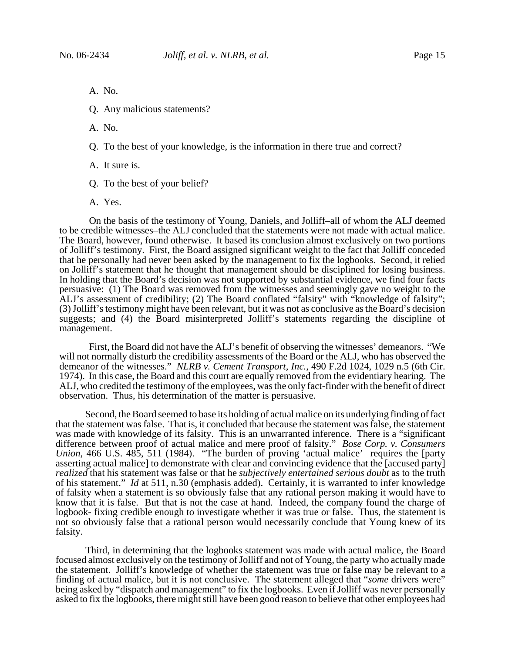A. No.

Q. Any malicious statements?

A. No.

Q. To the best of your knowledge, is the information in there true and correct?

A. It sure is.

Q. To the best of your belief?

A. Yes.

On the basis of the testimony of Young, Daniels, and Jolliff–all of whom the ALJ deemed to be credible witnesses–the ALJ concluded that the statements were not made with actual malice. The Board, however, found otherwise. It based its conclusion almost exclusively on two portions of Jolliff's testimony. First, the Board assigned significant weight to the fact that Jolliff conceded that he personally had never been asked by the management to fix the logbooks. Second, it relied on Jolliff's statement that he thought that management should be disciplined for losing business. In holding that the Board's decision was not supported by substantial evidence, we find four facts persuasive: (1) The Board was removed from the witnesses and seemingly gave no weight to the ALJ's assessment of credibility; (2) The Board conflated "falsity" with "knowledge of falsity"; (3) Jolliff's testimony might have been relevant, but it was not as conclusive as the Board's decision suggests; and (4) the Board misinterpreted Jolliff's statements regarding the discipline of management.

First, the Board did not have the ALJ's benefit of observing the witnesses' demeanors. "We will not normally disturb the credibility assessments of the Board or the ALJ, who has observed the demeanor of the witnesses." *NLRB v. Cement Transport, Inc.*, 490 F.2d 1024, 1029 n.5 (6th Cir. 1974). In this case, the Board and this court are equally removed from the evidentiary hearing. The ALJ, who credited the testimony of the employees, was the only fact-finder with the benefit of direct observation. Thus, his determination of the matter is persuasive.

Second, the Board seemed to base its holding of actual malice on its underlying finding of fact that the statement was false. That is, it concluded that because the statement was false, the statement was made with knowledge of its falsity. This is an unwarranted inference. There is a "significant difference between proof of actual malice and mere proof of falsity." *Bose Corp. v. Consumers Union*, 466 U.S. 485, 511 (1984). "The burden of proving 'actual malice' requires the [party asserting actual malice] to demonstrate with clear and convincing evidence that the [accused party] *realized* that his statement was false or that he *subjectively entertained serious doubt* as to the truth of his statement." *Id* at 511, n.30 (emphasis added). Certainly, it is warranted to infer knowledge of falsity when a statement is so obviously false that any rational person making it would have to know that it is false. But that is not the case at hand. Indeed, the company found the charge of logbook- fixing credible enough to investigate whether it was true or false. Thus, the statement is not so obviously false that a rational person would necessarily conclude that Young knew of its falsity.

Third, in determining that the logbooks statement was made with actual malice, the Board focused almost exclusively on the testimony of Jolliff and not of Young, the party who actually made the statement. Jolliff's knowledge of whether the statement was true or false may be relevant to a finding of actual malice, but it is not conclusive. The statement alleged that "*some* drivers were" being asked by "dispatch and management" to fix the logbooks. Even if Jolliff was never personally asked to fix the logbooks, there might still have been good reason to believe that other employees had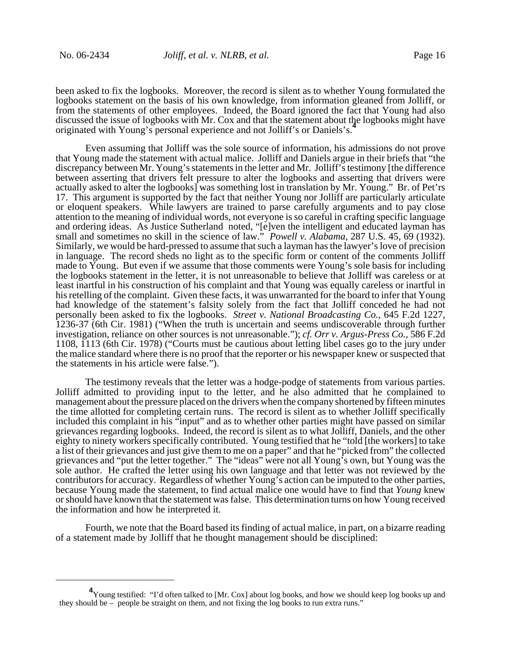been asked to fix the logbooks. Moreover, the record is silent as to whether Young formulated the logbooks statement on the basis of his own knowledge, from information gleaned from Jolliff, or from the statements of other employees. Indeed, the Board ignored the fact that Young had also discussed the issue of logbooks with Mr. Cox and that the statement about the logbooks might have originated with Young's personal experience and not Jolliff's or Daniels's.**<sup>4</sup>**

Even assuming that Jolliff was the sole source of information, his admissions do not prove that Young made the statement with actual malice. Jolliff and Daniels argue in their briefs that "the discrepancy between Mr. Young's statements in the letter and Mr. Jolliff's testimony [the difference between asserting that drivers felt pressure to alter the logbooks and asserting that drivers were actually asked to alter the logbooks] was something lost in translation by Mr. Young." Br. of Pet'rs 17. This argument is supported by the fact that neither Young nor Jolliff are particularly articulate or eloquent speakers. While lawyers are trained to parse carefully arguments and to pay close attention to the meaning of individual words, not everyone is so careful in crafting specific language and ordering ideas. As Justice Sutherland noted, "[e]ven the intelligent and educated layman has small and sometimes no skill in the science of law." *Powell v. Alabama*, 287 U.S. 45, 69 (1932). Similarly, we would be hard-pressed to assume that such a layman has the lawyer's love of precision in language. The record sheds no light as to the specific form or content of the comments Jolliff made to Young. But even if we assume that those comments were Young's sole basis for including the logbooks statement in the letter, it is not unreasonable to believe that Jolliff was careless or at least inartful in his construction of his complaint and that Young was equally careless or inartful in his retelling of the complaint. Given these facts, it was unwarranted for the board to infer that Young had knowledge of the statement's falsity solely from the fact that Jolliff conceded he had not personally been asked to fix the logbooks. *Street v. National Broadcasting Co.*, 645 F.2d 1227, 1236-37 (6th Cir. 1981) ("When the truth is uncertain and seems undiscoverable through further investigation, reliance on other sources is not unreasonable."); *cf. Orr v. Argus-Press Co.*, 586 F.2d 1108, 1113 (6th Cir. 1978) ("Courts must be cautious about letting libel cases go to the jury under the malice standard where there is no proof that the reporter or his newspaper knew or suspected that the statements in his article were false.").

The testimony reveals that the letter was a hodge-podge of statements from various parties. Jolliff admitted to providing input to the letter, and he also admitted that he complained to management about the pressure placed on the drivers when the company shortened by fifteen minutes the time allotted for completing certain runs. The record is silent as to whether Jolliff specifically included this complaint in his "input" and as to whether other parties might have passed on similar grievances regarding logbooks. Indeed, the record is silent as to what Jolliff, Daniels, and the other eighty to ninety workers specifically contributed. Young testified that he "told [the workers] to take a list of their grievances and just give them to me on a paper" and that he "picked from" the collected grievances and "put the letter together." The "ideas" were not all Young's own, but Young was the sole author. He crafted the letter using his own language and that letter was not reviewed by the contributors for accuracy. Regardless of whether Young's action can be imputed to the other parties, because Young made the statement, to find actual malice one would have to find that *Young* knew or should have known that the statement was false. This determination turns on how Young received the information and how he interpreted it.

Fourth, we note that the Board based its finding of actual malice, in part, on a bizarre reading of a statement made by Jolliff that he thought management should be disciplined:

<sup>&</sup>lt;sup>4</sup> Young testified: "I'd often talked to [Mr. Cox] about log books, and how we should keep log books up and they should be – people be straight on them, and not fixing the log books to run extra runs."